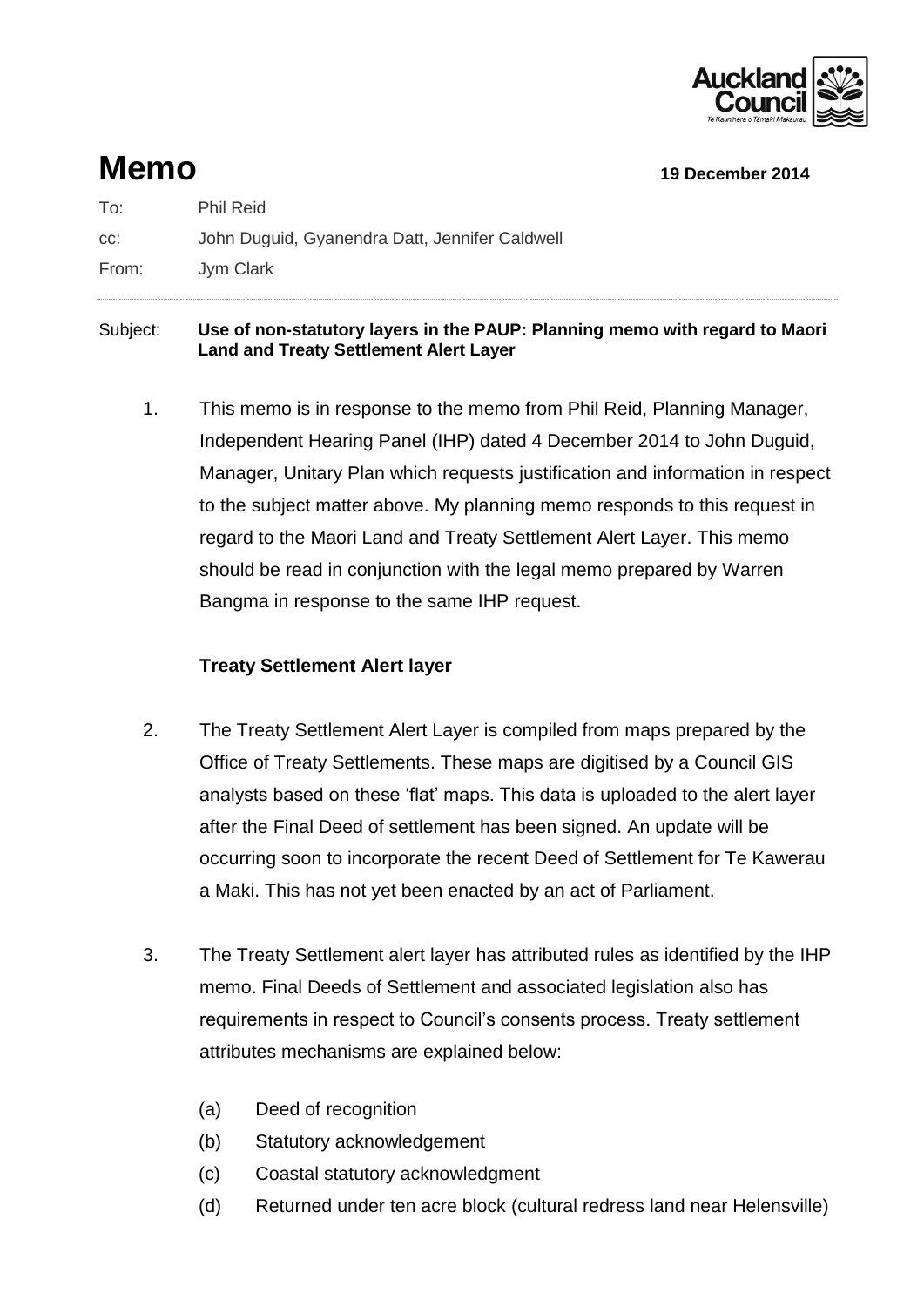

# **Memo 19 December 2014**

To: Phil Reid cc: John Duguid, Gyanendra Datt, Jennifer Caldwell From: Jym Clark

#### Subject: **Use of non-statutory layers in the PAUP: Planning memo with regard to Maori Land and Treaty Settlement Alert Layer**

1. This memo is in response to the memo from Phil Reid, Planning Manager, Independent Hearing Panel (IHP) dated 4 December 2014 to John Duguid, Manager, Unitary Plan which requests justification and information in respect to the subject matter above. My planning memo responds to this request in regard to the Maori Land and Treaty Settlement Alert Layer. This memo should be read in conjunction with the legal memo prepared by Warren Bangma in response to the same IHP request.

### **Treaty Settlement Alert layer**

- 2. The Treaty Settlement Alert Layer is compiled from maps prepared by the Office of Treaty Settlements. These maps are digitised by a Council GIS analysts based on these 'flat' maps. This data is uploaded to the alert layer after the Final Deed of settlement has been signed. An update will be occurring soon to incorporate the recent Deed of Settlement for Te Kawerau a Maki. This has not yet been enacted by an act of Parliament.
- 3. The Treaty Settlement alert layer has attributed rules as identified by the IHP memo. Final Deeds of Settlement and associated legislation also has requirements in respect to Council's consents process. Treaty settlement attributes mechanisms are explained below:
	- (a) Deed of recognition
	- (b) Statutory acknowledgement
	- (c) Coastal statutory acknowledgment
	- (d) Returned under ten acre block (cultural redress land near Helensville)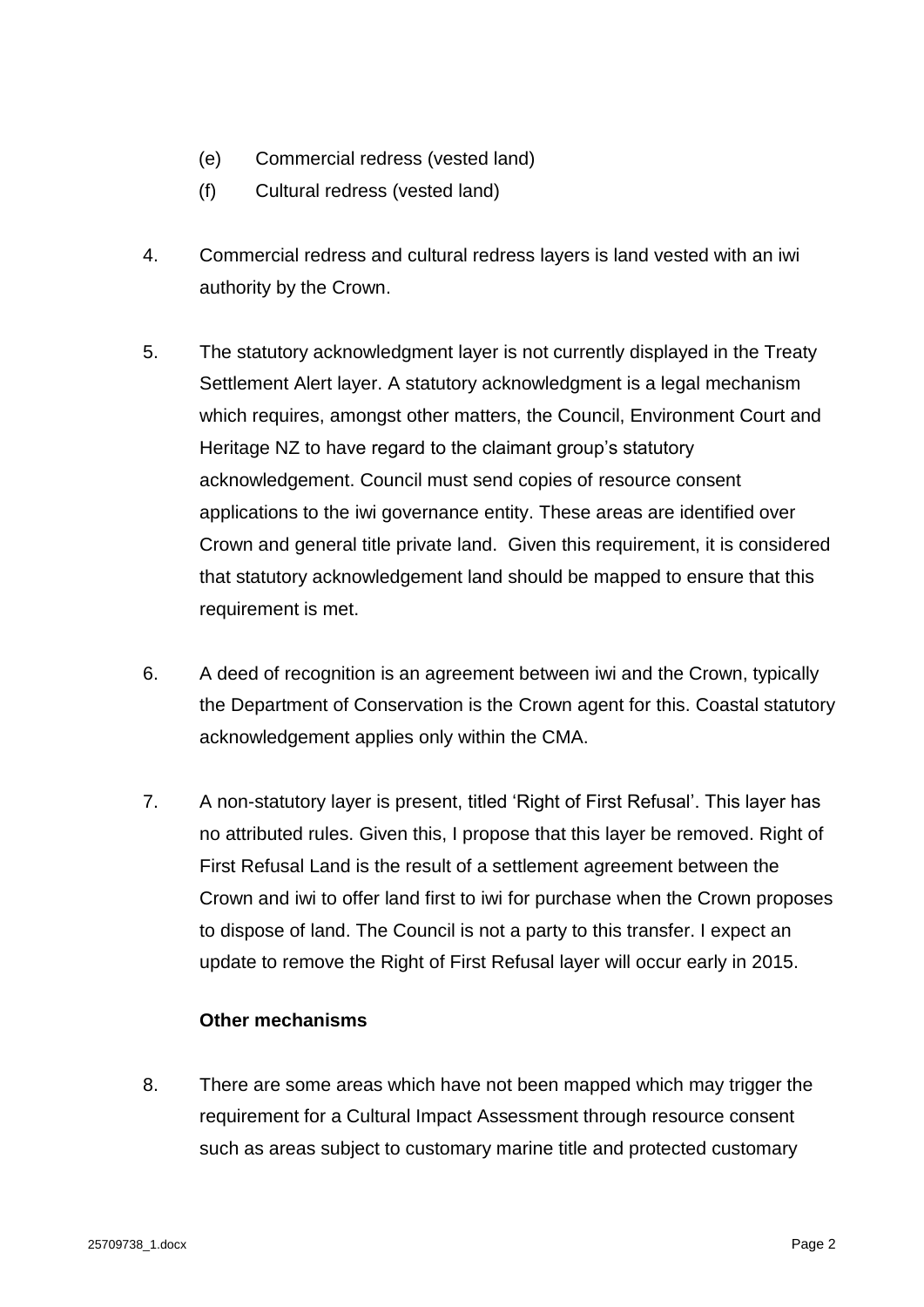- (e) Commercial redress (vested land)
- (f) Cultural redress (vested land)
- 4. Commercial redress and cultural redress layers is land vested with an iwi authority by the Crown.
- 5. The statutory acknowledgment layer is not currently displayed in the Treaty Settlement Alert layer. A statutory acknowledgment is a legal mechanism which requires, amongst other matters, the Council, Environment Court and Heritage NZ to have regard to the claimant group's statutory acknowledgement. Council must send copies of resource consent applications to the iwi governance entity. These areas are identified over Crown and general title private land. Given this requirement, it is considered that statutory acknowledgement land should be mapped to ensure that this requirement is met.
- 6. A deed of recognition is an agreement between iwi and the Crown, typically the Department of Conservation is the Crown agent for this. Coastal statutory acknowledgement applies only within the CMA.
- 7. A non-statutory layer is present, titled 'Right of First Refusal'. This layer has no attributed rules. Given this, I propose that this layer be removed. Right of First Refusal Land is the result of a settlement agreement between the Crown and iwi to offer land first to iwi for purchase when the Crown proposes to dispose of land. The Council is not a party to this transfer. I expect an update to remove the Right of First Refusal layer will occur early in 2015.

#### **Other mechanisms**

8. There are some areas which have not been mapped which may trigger the requirement for a Cultural Impact Assessment through resource consent such as areas subject to customary marine title and protected customary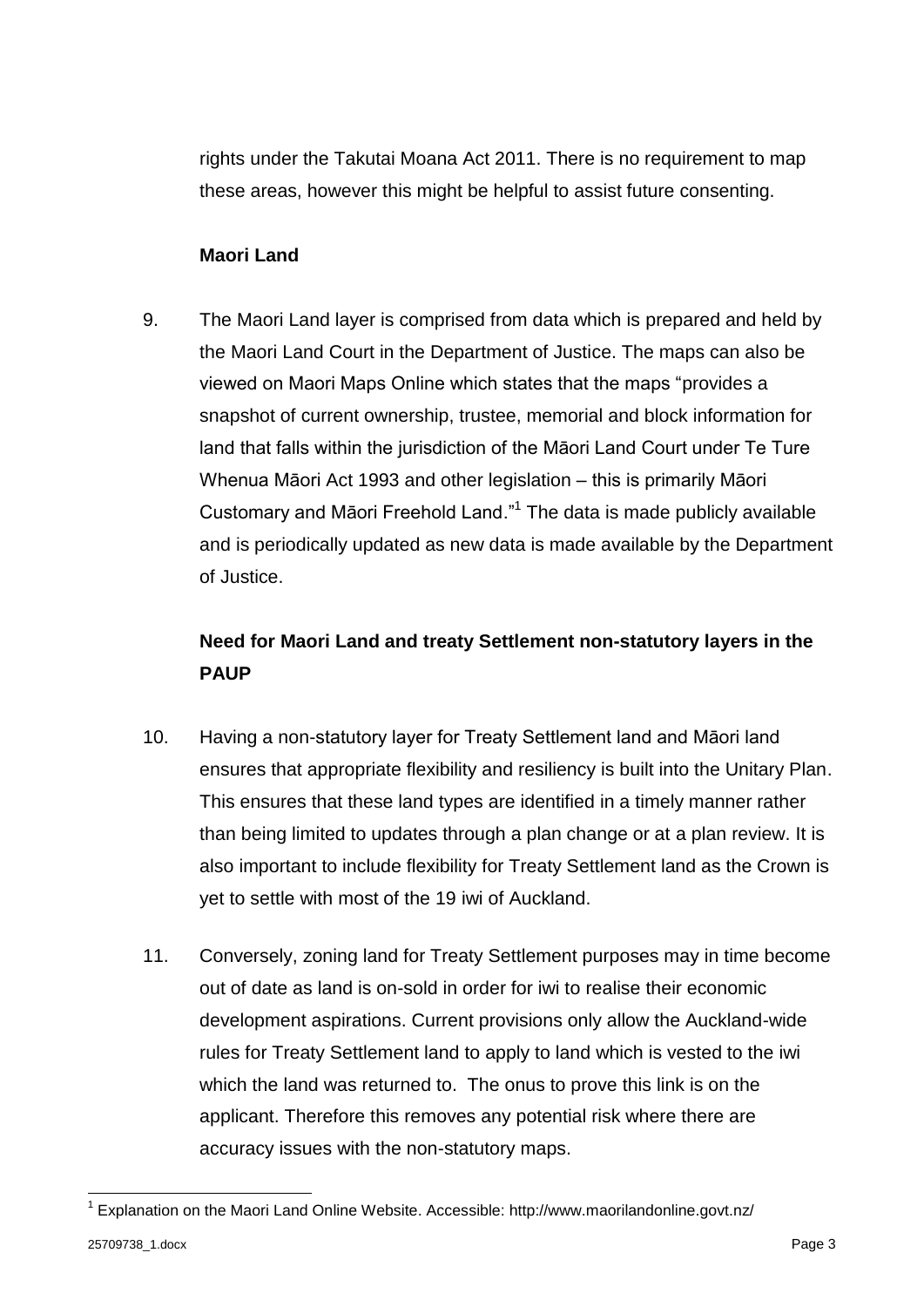rights under the Takutai Moana Act 2011. There is no requirement to map these areas, however this might be helpful to assist future consenting.

#### **Maori Land**

9. The Maori Land layer is comprised from data which is prepared and held by the Maori Land Court in the Department of Justice. The maps can also be viewed on Maori Maps Online which states that the maps "provides a snapshot of current ownership, trustee, memorial and block information for land that falls within the jurisdiction of the Māori Land Court under Te Ture Whenua Māori Act 1993 and other legislation – this is primarily Māori Customary and Māori Freehold Land."<sup>1</sup> The data is made publicly available and is periodically updated as new data is made available by the Department of Justice.

## **Need for Maori Land and treaty Settlement non-statutory layers in the PAUP**

- 10. Having a non-statutory layer for Treaty Settlement land and Māori land ensures that appropriate flexibility and resiliency is built into the Unitary Plan. This ensures that these land types are identified in a timely manner rather than being limited to updates through a plan change or at a plan review. It is also important to include flexibility for Treaty Settlement land as the Crown is yet to settle with most of the 19 iwi of Auckland.
- 11. Conversely, zoning land for Treaty Settlement purposes may in time become out of date as land is on-sold in order for iwi to realise their economic development aspirations. Current provisions only allow the Auckland-wide rules for Treaty Settlement land to apply to land which is vested to the iwi which the land was returned to. The onus to prove this link is on the applicant. Therefore this removes any potential risk where there are accuracy issues with the non-statutory maps.

-

<sup>&</sup>lt;sup>1</sup> Explanation on the Maori Land Online Website. Accessible: http://www.maorilandonline.govt.nz/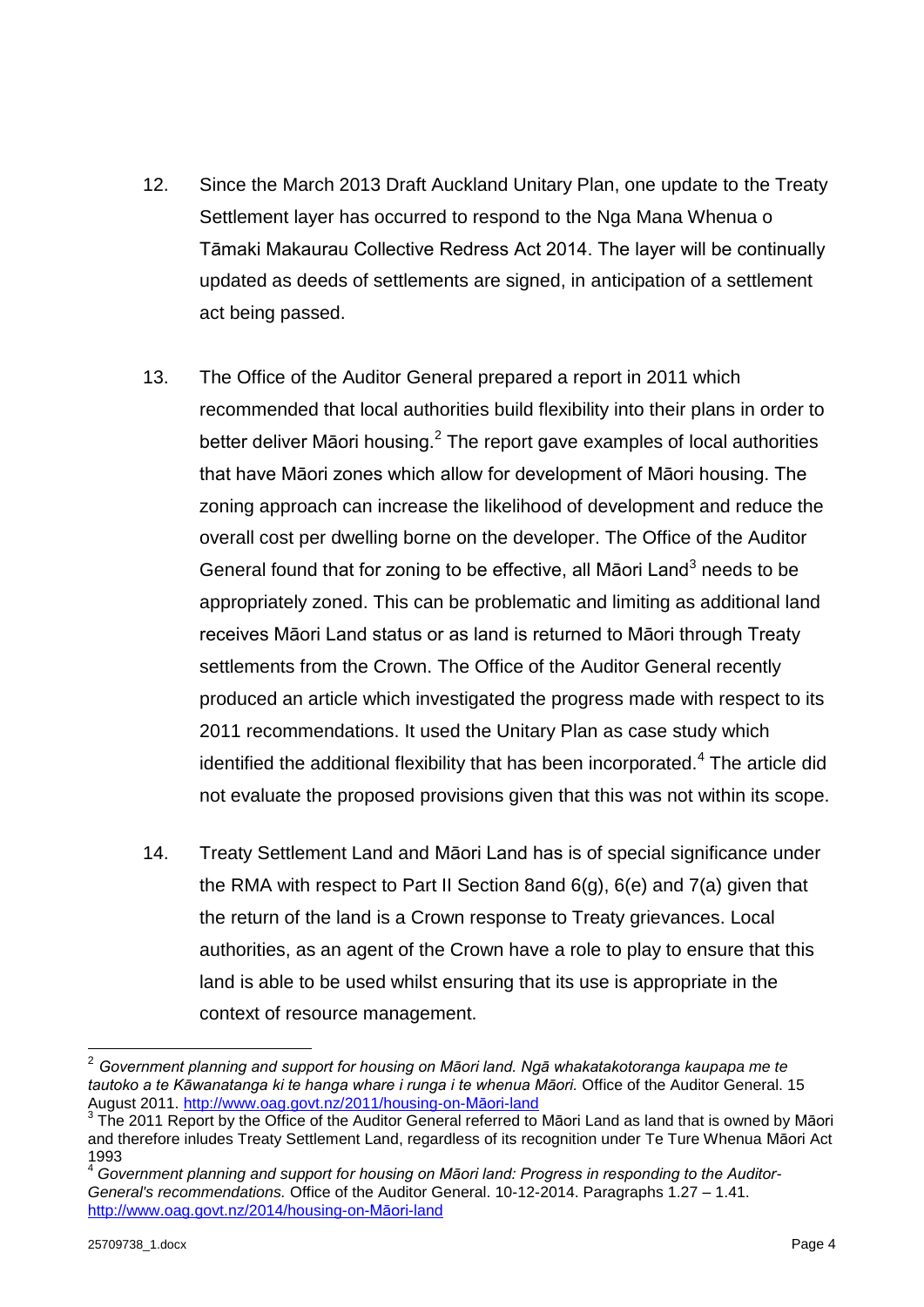- 12. Since the March 2013 Draft Auckland Unitary Plan, one update to the Treaty Settlement layer has occurred to respond to the Nga Mana Whenua o Tāmaki Makaurau Collective Redress Act 2014. The layer will be continually updated as deeds of settlements are signed, in anticipation of a settlement act being passed.
- 13. The Office of the Auditor General prepared a report in 2011 which recommended that local authorities build flexibility into their plans in order to better deliver Māori housing.<sup>2</sup> The report gave examples of local authorities that have Māori zones which allow for development of Māori housing. The zoning approach can increase the likelihood of development and reduce the overall cost per dwelling borne on the developer. The Office of the Auditor General found that for zoning to be effective, all Māori Land<sup>3</sup> needs to be appropriately zoned. This can be problematic and limiting as additional land receives Māori Land status or as land is returned to Māori through Treaty settlements from the Crown. The Office of the Auditor General recently produced an article which investigated the progress made with respect to its 2011 recommendations. It used the Unitary Plan as case study which identified the additional flexibility that has been incorporated.<sup>4</sup> The article did not evaluate the proposed provisions given that this was not within its scope.
- 14. Treaty Settlement Land and Māori Land has is of special significance under the RMA with respect to Part II Section 8and 6(g), 6(e) and 7(a) given that the return of the land is a Crown response to Treaty grievances. Local authorities, as an agent of the Crown have a role to play to ensure that this land is able to be used whilst ensuring that its use is appropriate in the context of resource management.

-

<sup>2</sup> *Government planning and support for housing on Māori land. Ngā whakatakotoranga kaupapa me te tautoko a te Kāwanatanga ki te hanga whare i runga i te whenua Māori.* Office of the Auditor General. 15 August 2011. [http://www.oag.govt.nz/2011/housing-on-Māori-land](http://www.oag.govt.nz/2011/housing-on-maori-land)

<sup>3</sup> The 2011 Report by the Office of the Auditor General referred to Māori Land as land that is owned by Māori and therefore inludes Treaty Settlement Land, regardless of its recognition under Te Ture Whenua Māori Act 1993

<sup>4</sup> *Government planning and support for housing on Māori land: Progress in responding to the Auditor-General's recommendations.* Office of the Auditor General. 10-12-2014. Paragraphs 1.27 – 1.41. [http://www.oag.govt.nz/2014/housing-on-Māori-land](http://www.oag.govt.nz/2014/housing-on-maori-land)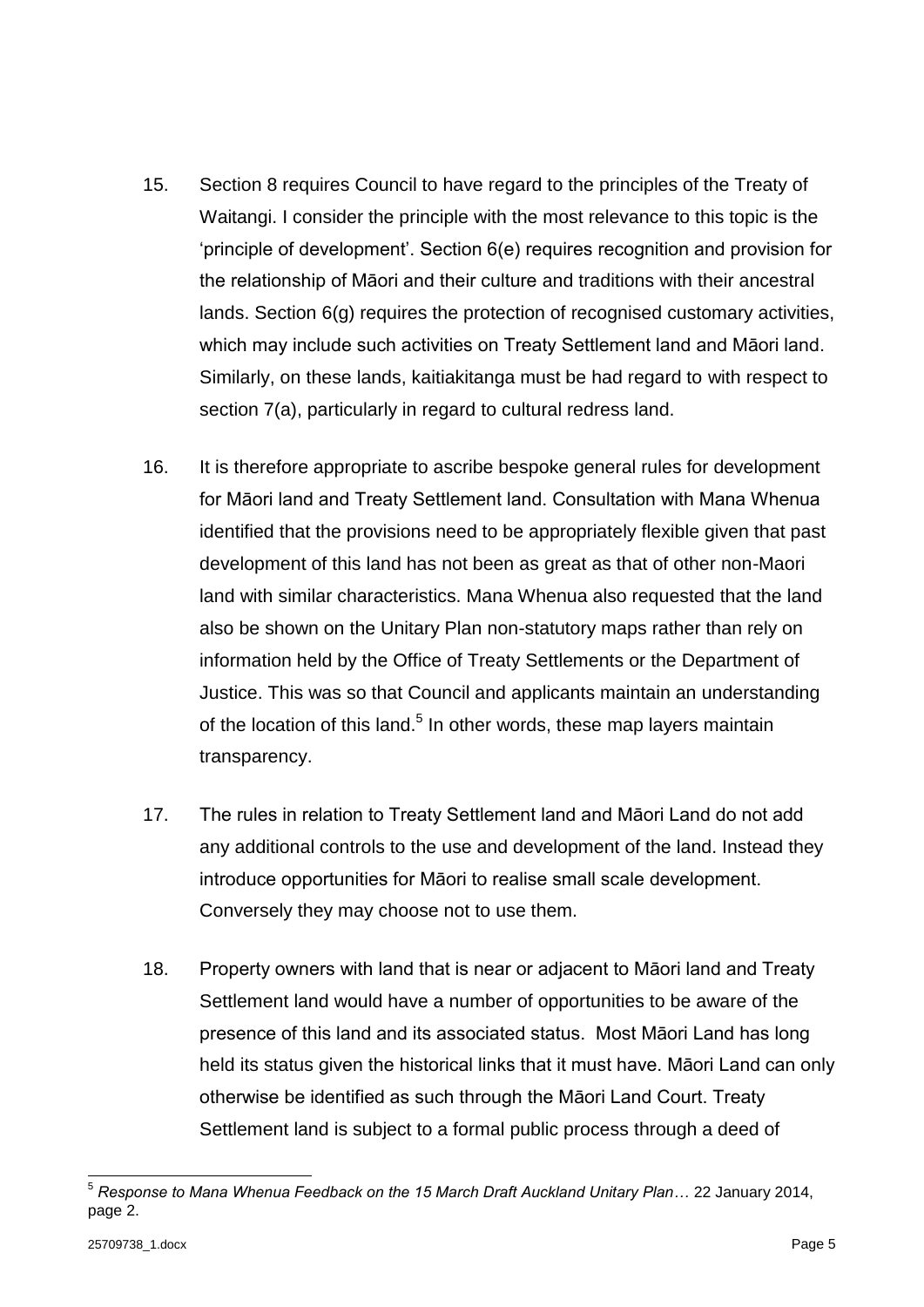- 15. Section 8 requires Council to have regard to the principles of the Treaty of Waitangi. I consider the principle with the most relevance to this topic is the 'principle of development'. Section 6(e) requires recognition and provision for the relationship of Māori and their culture and traditions with their ancestral lands. Section 6(g) requires the protection of recognised customary activities, which may include such activities on Treaty Settlement land and Māori land. Similarly, on these lands, kaitiakitanga must be had regard to with respect to section 7(a), particularly in regard to cultural redress land.
- 16. It is therefore appropriate to ascribe bespoke general rules for development for Māori land and Treaty Settlement land. Consultation with Mana Whenua identified that the provisions need to be appropriately flexible given that past development of this land has not been as great as that of other non-Maori land with similar characteristics. Mana Whenua also requested that the land also be shown on the Unitary Plan non-statutory maps rather than rely on information held by the Office of Treaty Settlements or the Department of Justice. This was so that Council and applicants maintain an understanding of the location of this land.<sup>5</sup> In other words, these map layers maintain transparency.
- 17. The rules in relation to Treaty Settlement land and Māori Land do not add any additional controls to the use and development of the land. Instead they introduce opportunities for Māori to realise small scale development. Conversely they may choose not to use them.
- 18. Property owners with land that is near or adjacent to Māori land and Treaty Settlement land would have a number of opportunities to be aware of the presence of this land and its associated status. Most Māori Land has long held its status given the historical links that it must have. Māori Land can only otherwise be identified as such through the Māori Land Court. Treaty Settlement land is subject to a formal public process through a deed of

-

<sup>5</sup> *Response to Mana Whenua Feedback on the 15 March Draft Auckland Unitary Plan…* 22 January 2014, page 2.